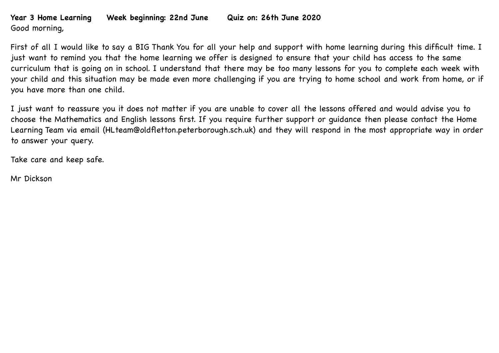## **Year 3 Home Learning Week beginning: 22nd June Quiz on: 26th June 2020** Good morning,

First of all I would like to say a BIG Thank You for all your help and support with home learning during this difficult time. I just want to remind you that the home learning we offer is designed to ensure that your child has access to the same curriculum that is going on in school. I understand that there may be too many lessons for you to complete each week with your child and this situation may be made even more challenging if you are trying to home school and work from home, or if you have more than one child.

I just want to reassure you it does not matter if you are unable to cover all the lessons offered and would advise you to choose the Mathematics and English lessons first. If you require further support or guidance then please contact the Home Learning Team via email (HLteam@oldfletton.peterborough.sch.uk) and they will respond in the most appropriate way in order to answer your query.

Take care and keep safe.

Mr Dickson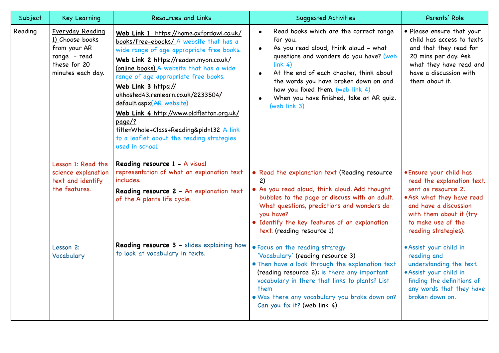| Subject | <b>Key Learning</b>                                                                                      | <b>Resources and Links</b>                                                                                                                                                                                                                                                                                                                                                                                                                                                                                               | <b>Suggested Activities</b>                                                                                                                                                                                                                                                                                                                                               | Parents' Role                                                                                                                                                                                               |
|---------|----------------------------------------------------------------------------------------------------------|--------------------------------------------------------------------------------------------------------------------------------------------------------------------------------------------------------------------------------------------------------------------------------------------------------------------------------------------------------------------------------------------------------------------------------------------------------------------------------------------------------------------------|---------------------------------------------------------------------------------------------------------------------------------------------------------------------------------------------------------------------------------------------------------------------------------------------------------------------------------------------------------------------------|-------------------------------------------------------------------------------------------------------------------------------------------------------------------------------------------------------------|
| Reading | Everyday Reading<br>1) Choose books<br>from your AR<br>range - read<br>these for 20<br>minutes each day. | Web Link 1 https://home.oxfordowl.co.uk/<br>books/free-ebooks/ A website that has a<br>wide range of age appropriate free books.<br>Web Link 2 https://readon.myon.co.uk/<br>(online books) A website that has a wide<br>range of age appropriate free books.<br>Web Link 3 https://<br>ukhosted43.renlearn.co.uk/2233504/<br>default.aspx(AR website)<br>Web Link 4 http://www.oldfletton.org.uk/<br>page/?<br>title=Whole+Class+Reading&pid=132 A link<br>to a leaflet about the reading strategies<br>used in school. | Read books which are the correct range<br>$\bullet$<br>for you.<br>As you read aloud, think aloud - what<br>$\bullet$<br>questions and wonders do you have? (web<br>link <sub>4</sub><br>At the end of each chapter, think about<br>the words you have broken down on and<br>how you fixed them. (web link 4)<br>When you have finished, take an AR quiz.<br>(web link 3) | • Please ensure that your<br>child has access to texts<br>and that they read for<br>20 mins per day. Ask<br>what they have read and<br>have a discussion with<br>them about it.                             |
|         | Lesson 1: Read the<br>science explanation<br>text and identify<br>the features.                          | Reading resource 1 - A visual<br>representation of what an explanation text<br>includes.<br>Reading resource 2 - An explanation text<br>of the A plants life cycle.                                                                                                                                                                                                                                                                                                                                                      | • Read the explanation text (Reading resource<br>2)<br>. As you read aloud, think aloud. Add thought<br>bubbles to the page or discuss with an adult.<br>What questions, predictions and wonders do<br>you have?<br>· Identify the key features of an explanation<br>text. (reading resource 1)                                                                           | . Ensure your child has<br>read the explanation text,<br>sent as resource 2.<br>. Ask what they have read<br>and have a discussion<br>with them about it (try<br>to make use of the<br>reading strategies). |
|         | Lesson 2:<br>Vocabulary                                                                                  | Reading resource 3 - slides explaining how<br>to look at vocabulary in texts.                                                                                                                                                                                                                                                                                                                                                                                                                                            | . Focus on the reading strategy<br>'Vocabulary' (reading resource 3)<br>. Then have a look through the explanation text<br>(reading resource 2); is there any important<br>vocabulary in there that links to plants? List<br>them<br>. Was there any vocabulary you broke down on?<br>Can you fix it? (web link 4)                                                        | · Assist your child in<br>reading and<br>understanding the text.<br>· Assist your child in<br>finding the definitions of<br>any words that they have<br>broken down on.                                     |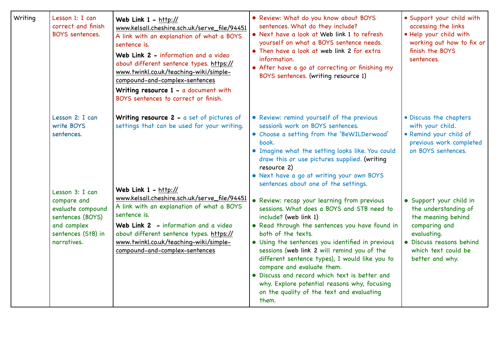| Writing | Lesson 1: I can<br>correct and finish<br><b>BOYS</b> sentences.                                          | Web Link $1 - \frac{h}{h}$<br>www.kelsall.cheshire.sch.uk/serve_file/94451<br>A link with an explanation of what a BOYS<br>sentence is.<br>Web Link 2 - information and a video<br>about different sentence types. https://<br>www.twinkl.co.uk/teaching-wiki/simple-<br>compound-and-complex-sentences<br>Writing resource $1 - a$ document with<br>BOYS sentences to correct or finish. | · Review: What do you know about BOYS<br>sentences. What do they include?<br>• Next have a look at Web link 1 to refresh<br>yourself on what a BOYS sentence needs.<br>• Then have a look at web link 2 for extra<br>information.<br>• After have a go at correcting or finishing my<br>BOYS sentences. (writing resource 1)                                                                                                                                                                                                         | • Support your child with<br>accessing the links<br>. Help your child with<br>working out how to fix or<br>finish the BOYS<br>sentences.                                    |
|---------|----------------------------------------------------------------------------------------------------------|-------------------------------------------------------------------------------------------------------------------------------------------------------------------------------------------------------------------------------------------------------------------------------------------------------------------------------------------------------------------------------------------|--------------------------------------------------------------------------------------------------------------------------------------------------------------------------------------------------------------------------------------------------------------------------------------------------------------------------------------------------------------------------------------------------------------------------------------------------------------------------------------------------------------------------------------|-----------------------------------------------------------------------------------------------------------------------------------------------------------------------------|
|         | Lesson 2: I can<br>write BOYS<br>sentences.<br>Lesson 3: I can                                           | Writing resource $2 - a$ set of pictures of<br>settings that can be used for your writing.<br>Web Link $1 - \frac{http://}{$                                                                                                                                                                                                                                                              | • Review: remind yourself of the previous<br>session's work on BOYS sentences.<br>• Choose a setting from the 'BeWILDerwood'<br>book.<br>. Imagine what the setting looks like. You could<br>draw this or use pictures supplied. (writing<br>resource 2)<br>• Next have a go at writing your own BOYS<br>sentences about one of the settings.                                                                                                                                                                                        | • Discuss the chapters<br>with your child.<br>· Remind your child of<br>previous work completed<br>on BOYS sentences.                                                       |
|         | compare and<br>evaluate compound<br>sentences (BOYS)<br>and complex<br>sentences (StB) in<br>narratives. | www.kelsall.cheshire.sch.uk/serve_file/94451<br>A link with an explanation of what a BOYS<br>sentence is.<br>Web Link 2 - information and a video<br>about different sentence types. https://<br>www.twinkl.co.uk/teaching-wiki/simple-<br>compound-and-complex-sentences                                                                                                                 | • Review: recap your learning from previous<br>sessions. What does a BOYS and STB need to<br>include? (web link 1)<br>. Read through the sentences you have found in<br>both of the texts.<br>• Using the sentences you identified in previous<br>sessions (web link 2 will remind you of the<br>different sentence types), I would like you to<br>compare and evaluate them.<br>• Discuss and record which text is better and<br>why. Explore potential reasons why, focusing<br>on the quality of the text and evaluating<br>them. | • Support your child in<br>the understanding of<br>the meaning behind<br>comparing and<br>evaluating.<br>· Discuss reasons behind<br>which text could be<br>better and why. |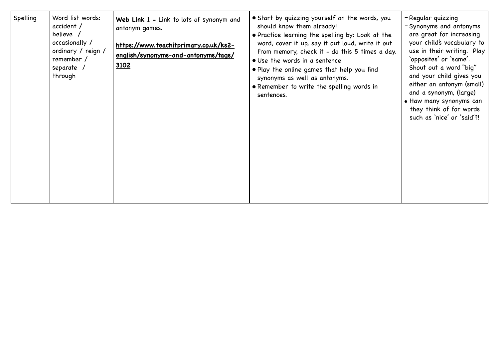| Spelling | Word list words:<br>accident /<br>believe /<br>occasionally /<br>ordinary / reign /<br>remember /<br>separate /<br>through | Web Link 1 - Link to lots of synonym and<br>antonym games.<br>https://www.teachitprimary.co.uk/ks2-<br>english/synonyms-and-antonyms/tags/<br>3102 | • Start by quizzing yourself on the words, you<br>should know them already!<br>• Practice learning the spelling by: Look at the<br>word, cover it up, say it out loud, write it out<br>from memory, check it - do this 5 times a day.<br>• Use the words in a sentence<br>. Play the online games that help you find<br>synonyms as well as antonyms.<br>• Remember to write the spelling words in<br>sentences. | -Regular quizzing<br>- Synonyms and antonyms<br>are great for increasing<br>your child's vocabulary to<br>use in their writing. Play<br>`opposites' or `same'.<br>Shout out a word "big"<br>and your child gives you<br>either an antonym (small)<br>and a synonym, (large)<br>• Haw many synonyms can<br>they think of for words<br>such as 'nice' or 'said'?! |
|----------|----------------------------------------------------------------------------------------------------------------------------|----------------------------------------------------------------------------------------------------------------------------------------------------|------------------------------------------------------------------------------------------------------------------------------------------------------------------------------------------------------------------------------------------------------------------------------------------------------------------------------------------------------------------------------------------------------------------|-----------------------------------------------------------------------------------------------------------------------------------------------------------------------------------------------------------------------------------------------------------------------------------------------------------------------------------------------------------------|
|----------|----------------------------------------------------------------------------------------------------------------------------|----------------------------------------------------------------------------------------------------------------------------------------------------|------------------------------------------------------------------------------------------------------------------------------------------------------------------------------------------------------------------------------------------------------------------------------------------------------------------------------------------------------------------------------------------------------------------|-----------------------------------------------------------------------------------------------------------------------------------------------------------------------------------------------------------------------------------------------------------------------------------------------------------------------------------------------------------------|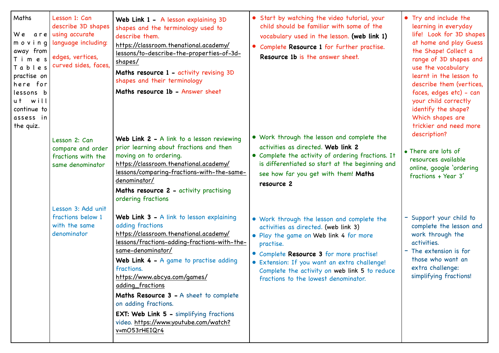| Maths<br>We are <br>moving<br>away from<br>Times<br>Tables<br>practise on<br>here for<br>lessons b<br>ut will<br>continue to<br>assess in<br>the quiz. | Lesson 1: Can<br>describe 3D shapes<br>using accurate<br>language including:<br>edges, vertices,<br>curved sides, faces, | Web Link 1 - A lesson explaining 3D<br>shapes and the terminology used to<br>describe them.<br>https://classroom.thenational.academy/<br><u>lessons/to-describe-the-properties-of-3d-</u><br>shapes/<br>Maths resource 1 - activity revising 3D<br>shapes and their terminology<br>Maths resource 1b - Answer sheet                                                                                                                                                          | • Start by watching the video tutorial, your<br>child should be familiar with some of the<br>vocabulary used in the lesson. (web link 1)<br>• Complete Resource 1 for further practise.<br>Resource 1b is the answer sheet.                                                                                                    | • Try and include the<br>learning in everyday<br>life! Look for 3D shapes<br>at home and play Guess<br>the Shape! Collect a<br>range of 3D shapes and<br>use the vocabulary<br>learnt in the lesson to<br>describe them (vertices,<br>faces, edges etc) - can<br>your child correctly<br>identify the shape?<br>Which shapes are<br>trickier and need more |
|--------------------------------------------------------------------------------------------------------------------------------------------------------|--------------------------------------------------------------------------------------------------------------------------|------------------------------------------------------------------------------------------------------------------------------------------------------------------------------------------------------------------------------------------------------------------------------------------------------------------------------------------------------------------------------------------------------------------------------------------------------------------------------|--------------------------------------------------------------------------------------------------------------------------------------------------------------------------------------------------------------------------------------------------------------------------------------------------------------------------------|------------------------------------------------------------------------------------------------------------------------------------------------------------------------------------------------------------------------------------------------------------------------------------------------------------------------------------------------------------|
|                                                                                                                                                        | Lesson 2: Can<br>compare and order<br>fractions with the<br>same denominator                                             | Web Link 2 - A link to a lesson reviewing<br>prior learning about fractions and then<br>moving on to ordering.<br>https://classroom.thenational.academy/<br>lessons/comparing-fractions-with-the-same-<br>denominator/<br>Maths resource 2 - activity practising<br>ordering fractions                                                                                                                                                                                       | • Work through the lesson and complete the<br>activities as directed. Web link 2<br>• Complete the activity of ordering fractions. It<br>is differentiated so start at the beginning and<br>see how far you get with them! Maths<br>resource 2                                                                                 | description?<br>• There are lots of<br>resources available<br>online, google 'ordering<br>fractions + Year 3'                                                                                                                                                                                                                                              |
|                                                                                                                                                        | Lesson 3: Add unit<br>fractions below 1<br>with the same<br>denominator                                                  | Web Link 3 - A link to lesson explaining<br>adding fractions<br>https://classroom.thenational.academy/<br>lessons/fractions-adding-fractions-with-the-<br>same-denominator/<br><b>Web Link 4 - A game to practise adding</b><br>fractions.<br>https://www.abcya.com/games/<br>adding_fractions<br>Maths Resource 3 - A sheet to complete<br>on adding fractions.<br><b>EXT: Web Link 5 - simplifying fractions</b><br>video. https://www.youtube.com/watch?<br>v=mO53rHEIQr4 | • Work through the lesson and complete the<br>activities as directed. (web link 3)<br>• Play the game on Web link 4 for more<br>practise.<br>• Complete Resource 3 for more practise!<br>· Extension: If you want an extra challenge!<br>Complete the activity on web link 5 to reduce<br>fractions to the lowest denominator. | - Support your child to<br>complete the lesson and<br>work through the<br>activities.<br>- The extension is for<br>those who want an<br>extra challenge:<br>simplifying fractions!                                                                                                                                                                         |